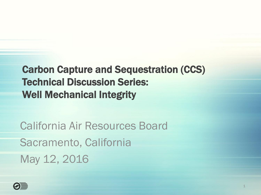Carbon Capture and Sequestration (CCS) Well Mechanical Integrity Technical Discussion Series:

California Air Resources Board Sacramento, California May 12, 2016

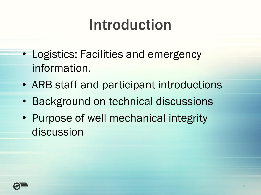## Introduction

- Logistics: Facilities and emergency information.
- ARB staff and participant introductions
- Background on technical discussions
- Purpose of well mechanical integrity discussion

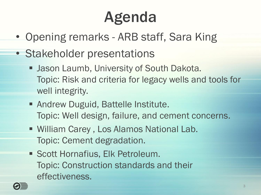# Agenda

- Opening remarks ARB staff, Sara King
- Stakeholder presentations
	- **Jason Laumb, University of South Dakota.** Topic: Risk and criteria for legacy wells and tools for well integrity.
	- Topic: Well design, failure, and cement concerns. ■ Andrew Duguid, Battelle Institute.
	- William Carey , Los Alamos National Lab. Topic: Cement degradation.
	- **Scott Hornafius, Elk Petroleum.** Topic: Construction standards and their effectiveness.

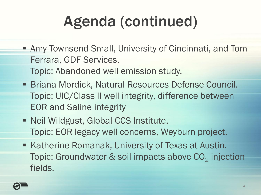# Agenda (continued)

- Amy Townsend-Small, University of Cincinnati, and Tom Ferrara, GDF Services. Topic: Abandoned well emission study.
- **Briana Mordick, Natural Resources Defense Council.** Topic: UIC/Class II well integrity, difference between EOR and Saline integrity
- **Neil Wildgust, Global CCS Institute.** Topic: EOR legacy well concerns, Weyburn project.
- Topic: Groundwater & soil impacts above  $\mathrm{CO}_2$  injection ■ Katherine Romanak, University of Texas at Austin. fields.

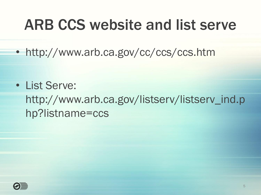### ARB CCS website and list serve

• http://www.arb.ca.gov/cc/ccs/ccs.htm

• List Serve: [http://www.arb.ca.gov/listserv/listserv\\_ind.p](http://www.arb.ca.gov/listserv/listserv_ind.p) hp?listname=ccs

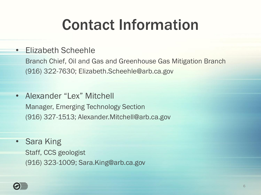## Contact Information

#### • Elizabeth Scheehle

Branch Chief, Oil and Gas and Greenhouse Gas Mitigation Branch (916) 322-7630; Elizabeth.Scheehle@arb.ca.gov

- Alexander "Lex" Mitchell Manager, Emerging Technology Section (916) 327-1513; Alexander.Mitchell@arb.ca.gov
- **Sara King** Staff, CCS geologist (916) 323-1009; Sara.King@arb.ca.gov